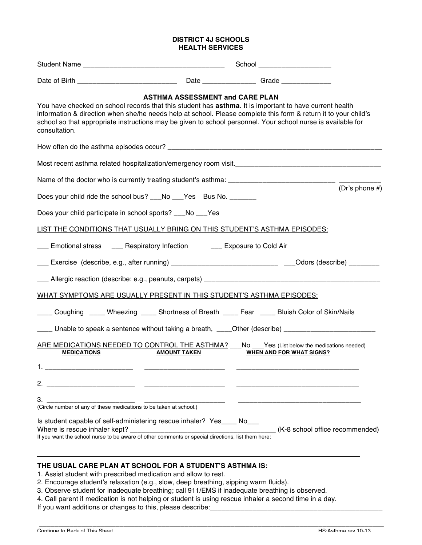## **DISTRICT 4J SCHOOLS HEALTH SERVICES**

|                                                                                                                                                                                                                                                                                                                                                             |                                        | School _______________________  |                |
|-------------------------------------------------------------------------------------------------------------------------------------------------------------------------------------------------------------------------------------------------------------------------------------------------------------------------------------------------------------|----------------------------------------|---------------------------------|----------------|
|                                                                                                                                                                                                                                                                                                                                                             |                                        |                                 |                |
| You have checked on school records that this student has asthma. It is important to have current health<br>information & direction when she/he needs help at school. Please complete this form & return it to your child's<br>school so that appropriate instructions may be given to school personnel. Your school nurse is available for<br>consultation. | <b>ASTHMA ASSESSMENT and CARE PLAN</b> |                                 |                |
|                                                                                                                                                                                                                                                                                                                                                             |                                        |                                 |                |
|                                                                                                                                                                                                                                                                                                                                                             |                                        |                                 |                |
|                                                                                                                                                                                                                                                                                                                                                             |                                        |                                 |                |
| Does your child ride the school bus? ___No ___Yes Bus No. _______                                                                                                                                                                                                                                                                                           |                                        |                                 | (Dr's phone #) |
| Does your child participate in school sports? ___No ___Yes                                                                                                                                                                                                                                                                                                  |                                        |                                 |                |
| <u>LIST THE CONDITIONS THAT USUALLY BRING ON THIS STUDENT'S ASTHMA EPISODES:</u>                                                                                                                                                                                                                                                                            |                                        |                                 |                |
| <b>EXECUTE:</b> Emotional stress <b>LECUTE:</b> Respiratory Infection <b>LECUTE:</b> Exposure to Cold Air                                                                                                                                                                                                                                                   |                                        |                                 |                |
|                                                                                                                                                                                                                                                                                                                                                             |                                        |                                 |                |
|                                                                                                                                                                                                                                                                                                                                                             |                                        |                                 |                |
| WHAT SYMPTOMS ARE USUALLY PRESENT IN THIS STUDENT'S ASTHMA EPISODES:                                                                                                                                                                                                                                                                                        |                                        |                                 |                |
| ____ Coughing _____ Wheezing _____ Shortness of Breath ____ Fear _____ Bluish Color of Skin/Nails                                                                                                                                                                                                                                                           |                                        |                                 |                |
| ____ Unable to speak a sentence without taking a breath, ____Other (describe) ______________________                                                                                                                                                                                                                                                        |                                        |                                 |                |
| ARE MEDICATIONS NEEDED TO CONTROL THE ASTHMA? No Samples (List below the medications needed)<br><b>MEDICATIONS</b>                                                                                                                                                                                                                                          | <b>AMOUNT TAKEN</b>                    | <b>WHEN AND FOR WHAT SIGNS?</b> |                |
| 1.                                                                                                                                                                                                                                                                                                                                                          |                                        |                                 |                |
| 2.<br><u> 1980 - Johann Barn, mars eta bainar eta baina eta baina eta baina eta baina eta baina eta baina eta baina eta</u>                                                                                                                                                                                                                                 |                                        |                                 |                |
| 3.                                                                                                                                                                                                                                                                                                                                                          |                                        |                                 |                |
| Is student capable of self-administering rescue inhaler? Yes____ No___<br>Where is rescue inhaler kept?                                                                                                                                                                                                                                                     |                                        | (K-8 school office recommended) |                |

## **THE USUAL CARE PLAN AT SCHOOL FOR A STUDENT'S ASTHMA IS:**

- 1. Assist student with prescribed medication and allow to rest.
- 2. Encourage student's relaxation (e.g., slow, deep breathing, sipping warm fluids).
- 3. Observe student for inadequate breathing; call 911/EMS if inadequate breathing is observed.
- 4. Call parent if medication is not helping or student is using rescue inhaler a second time in a day.

\_\_\_\_\_\_\_\_\_\_\_\_\_\_\_\_\_\_\_\_\_\_\_\_\_\_\_\_\_\_\_\_\_\_\_\_\_\_\_\_\_\_\_\_\_\_\_\_\_\_\_\_\_\_\_\_\_\_\_\_\_\_\_\_\_\_\_\_\_\_\_\_\_\_\_\_\_\_\_\_\_\_\_\_\_\_\_\_\_\_

If you want additions or changes to this, please describe: